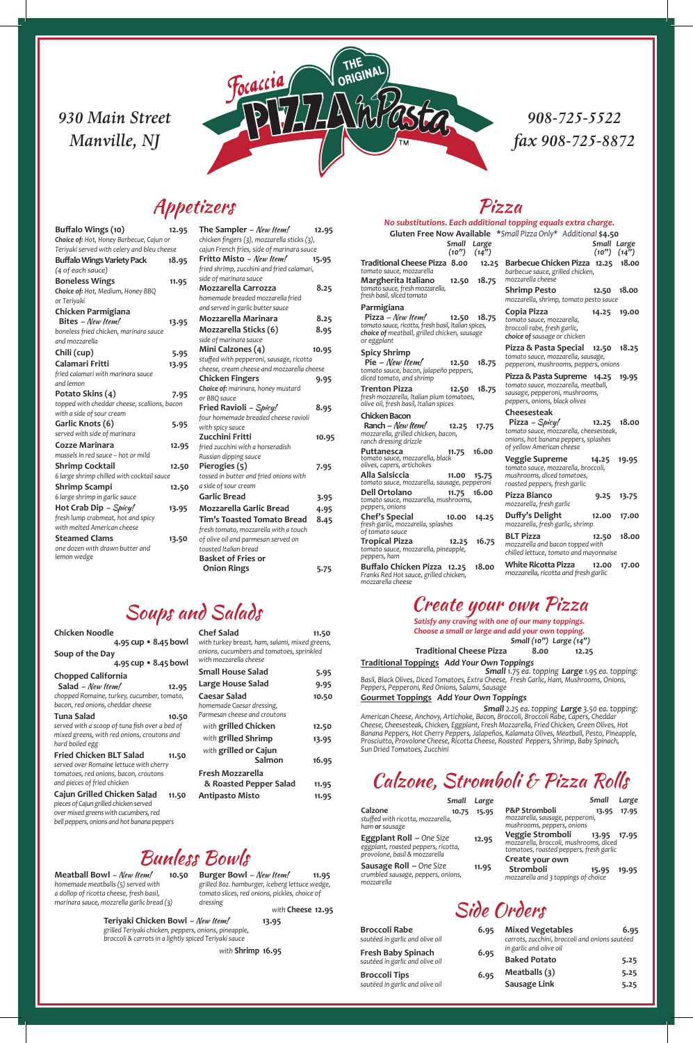*mozzarella cheese*

|                                                                                                                                                           | r izza                                                                                                                                          |
|-----------------------------------------------------------------------------------------------------------------------------------------------------------|-------------------------------------------------------------------------------------------------------------------------------------------------|
|                                                                                                                                                           | No substitutions. Each additional topping equals extra charge.                                                                                  |
|                                                                                                                                                           | Gluten Free Now Available *Small Pizza Only* Additional \$4.50                                                                                  |
| Small<br>Large<br>(10'')<br>$(14^{7})$                                                                                                                    | Small Large<br>(10'') (14'')                                                                                                                    |
| Traditional Cheese Pizza 8.00<br>12.25<br>tomato sauce, mozzarella                                                                                        | <b>Barbecue Chicken Pizza 12.25</b><br>18.00<br>barbecue sauce, grilled chicken,                                                                |
| Margherita Italiano<br>12.50<br>18.75<br>tomato sauce, fresh mozzarella,<br>fresh basil, sliced tomato                                                    | mozzarella cheese<br><b>Shrimp Pesto</b><br>18.00<br>12.50                                                                                      |
| Parmigiana                                                                                                                                                | mozzarella, shrimp, tomato pesto sauce                                                                                                          |
| Pizza – New Item!<br>12.50<br>18.75<br>tomato sauce, ricotta, fresh basil, Italian spices,<br>choice of meatball, grilled chicken, sausage<br>or eggplant | Copia Pizza<br>14.25<br>19.00<br>tomato sauce, mozzarella,<br>broccoli rabe, fresh garlic,<br>choice of sausage or chicken                      |
| <b>Spicy Shrimp</b><br>$Pie - New Item!$<br>18.75<br>12.50                                                                                                | Pizza & Pasta Special<br>18.25<br>12.50<br>tomato sauce, mozzarella, sausage,<br>pepperoni, mushrooms, peppers, onions                          |
| tomato sauce, bacon, jalapeño peppers,<br>diced tomato, and shrimp                                                                                        | Pizza & Pasta Supreme 14.25<br>19.95                                                                                                            |
| <b>Trenton Pizza</b><br>18.75<br>12.50<br>fresh mozzarella, Italian plum tomatoes,<br>olive oil, fresh basil, Italian spices                              | tomato sauce, mozzarella, meatball,<br>sausage, pepperoni, mushrooms,<br>peppers, onions, black olives                                          |
| <b>Chicken Bacon</b>                                                                                                                                      | <b>Cheesesteak</b>                                                                                                                              |
| Ranch - New Item!<br>12.25<br>17.75<br>mozzarella, grilled chicken, bacon,<br>ranch dressing drizzle                                                      | Pizza – Spicy!<br>18.00<br>12.25<br>tomato sauce, mozzarella, cheesesteak,<br>onions, hot banana peppers, splashes<br>of yellow American cheese |
| 16.00<br>Puttanesca<br>11.75<br>tomato sauce, mozzarella, black<br>olives, capers, artichokes                                                             | <b>Veggie Supreme</b><br>14.25<br>19.95<br>tomato sauce, mozzarella, broccoli,                                                                  |
| <b>Alla Salsiccia</b><br>11.00<br>15.75<br>tomato sauce, mozzarella, sausage, pepperoni                                                                   | mushrooms, diced tomatoes,<br>roasted peppers, fresh garlic                                                                                     |
| <b>Dell Ortolano</b><br>16.00<br>11.75<br>tomato sauce, mozzarella, mushrooms,<br>peppers, onions                                                         | Pizza Bianco<br>9.25<br>13.75<br>mozzarella, fresh garlic                                                                                       |
| <b>Chef's Special</b><br>10.00<br>14.25<br>fresh garlic, mozzarella, splashes                                                                             | Duffy's Delight<br>12.00<br>17.00<br>mozzarella, fresh garlic, shrimp                                                                           |
| of tomato sauce<br><b>Tropical Pizza</b><br>16.75<br>12.25<br>tomato sauce, mozzarella, pineapple,<br>peppers, ham                                        | <b>BLT Pizza</b><br>18.00<br>12.50<br>mozzarella and bacon topped with<br>chilled lettuce, tomato and mayonnaise                                |
| Buffalo Chicken Pizza 12.25<br>18.00<br>Franks Red Hot sauce, grilled chicken,                                                                            | <b>White Ricotta Pizza</b><br>12.00<br>17.00<br>mozzarella, ricotta and fresh garlic                                                            |

#### Create your own Pizza

*Satisfy any craving with one of our many toppings.*

*Choose a small or large and add your own topping. Small (10") Large (14")*

#### **Traditional Cheese Pizza 8.00 12.25**

**Traditional Toppings** *Add Your Own Toppings Small 1.75 ea. topping Large 1.95 ea. topping:*

*Basil, Black Olives, Diced Tomatoes, Extra Cheese, Fresh Garlic, Ham, Mushrooms, Onions, Peppers, Pepperoni, Red Onions, Salami, Sausage*

#### **Gourmet Toppings** *Add Your Own Toppings*

*Small 2.25 ea. topping Large 3.50 ea. topping: American Cheese, Anchovy, Artichoke, Bacon, Broccoli, Broccoli Rabe, Capers, Cheddar Cheese, Cheesesteak, Chicken, Eggplant, Fresh Mozzarella, Fried Chicken, Green Olives, Hot Banana Peppers, Hot Cherry Peppers, Jalapeños, Kalamata Olives, Meatball, Pesto, Pineapple, Prosciutto, Provolone Cheese, Ricotta Cheese, Roasted Peppers, Shrimp, Baby Spinach, Sun Dried Tomatoes, Zucchini*

**Meatball Bowl** – New Item! *homemade meatballs (5) served with a dollop of ricotta cheese, fresh basil, marinara sauce, mozzrella garlic bread (3)*

#### *930 Main Street Manville, NJ*



#### *908-725-5522 fax 908-725-8872*

10.50 **Burger Bowl** - New Item! 11.95 *grilled 8oz. hamburger, iceberg lettuce wedge, tomato slices, red onions, pickles, choice of dressing*

| Buffalo Wings (10)                           | 12.95 | The           |
|----------------------------------------------|-------|---------------|
| Choice of: Hot, Honey Barbecue, Cajun or     |       | chick         |
| Teriyaki served with celery and bleu cheese  |       | cajur         |
| <b>Buffalo Wings Variety Pack</b>            | 18.95 | Frit          |
| (4 of each sauce)                            |       | fried         |
| <b>Boneless Wings</b>                        | 11.95 | side          |
| Choice of: Hot, Medium, Honey BBQ            |       | Mo.           |
| or Teriyaki                                  |       | hom           |
| Chicken Parmigiana                           |       | and s         |
| Bites - New Item!                            | 13.95 | Mo.           |
| boneless fried chicken, marinara sauce       |       | Mo.           |
| and mozzarella                               |       | side          |
| Chili (cup)                                  | 5.95  | Min           |
| Calamari Fritti                              | 13.95 | stuff<br>chee |
| fried calamari with marinara sauce           |       | Chi           |
| and lemon                                    |       | Choi          |
| Potato Skins (4)                             | 7.95  | or BE         |
| topped with cheddar cheese, scallions, bacon |       | Frie          |
| with a side of sour cream                    |       | four          |
| Garlic Knots (6)                             | 5.95  | with          |
| served with side of marinara                 |       | Zuc           |
| <b>Cozze Marinara</b>                        | 12.95 | fried         |
| mussels in red sauce – hot or mild           |       | Russ          |
| <b>Shrimp Cocktail</b>                       | 12.50 | Pier          |
| 6 large shrimp chilled with cocktail sauce   |       | tosse         |
| <b>Shrimp Scampi</b>                         | 12.50 | a sid         |
| 6 large shrimp in garlic sauce               |       | Gar           |
| Hot Crab Dip - Spicy!                        | 13.95 | Mo:           |
| fresh lump crabmeat, hot and spicy           |       | Tim           |
| with melted American cheese                  |       | fresh         |
| <b>Steamed Clams</b>                         | 13.50 | of ol         |
| one dozen with drawn butter and              |       | toas          |
| lemon wedge                                  |       | Bas           |

| The Sampler - New Item!<br>chicken fingers (3), mozzarella sticks (3), | 12.95 |
|------------------------------------------------------------------------|-------|
| cajun French fries, side of marinara sauce                             |       |
| Fritto Misto - New Item!                                               | 15.95 |
| fried shrimp, zucchini and fried calamari,                             |       |
| side of marinara sauce                                                 |       |
| Mozzarella Carrozza                                                    | 8.25  |
| homemade breaded mozzarella fried                                      |       |
| and served in garlic butter sauce                                      |       |
| <b>Mozzarella Marinara</b>                                             | 8.25  |
| <b>Mozzarella Sticks (6)</b>                                           | 8.95  |
| side of marinara sauce                                                 |       |
| Mini Calzones (4)                                                      | 10.95 |
| stuffed with pepperoni, sausage, ricotta                               |       |
| cheese, cream cheese and mozzarella cheese                             |       |
| <b>Chicken Fingers</b>                                                 | 9.95  |
| Choice of: marinara, honey mustard                                     |       |
| or BBQ sauce                                                           |       |
| Fried Ravioli - Spicy!                                                 | 8.95  |
| four homemade breaded cheese ravioli                                   |       |
| with spicy sauce                                                       |       |
| Zucchini Fritti                                                        | 10.95 |
| fried zucchini with a horseradish                                      |       |
| Russian dipping sauce                                                  |       |
| Pierogies (5)                                                          | 7.95  |
| tossed in butter and fried onions with                                 |       |
| a side of sour cream                                                   |       |
| <b>Garlic Bread</b>                                                    | 3.95  |
| <b>Mozzarella Garlic Bread</b>                                         | 4.95  |
| <b>Tim's Toasted Tomato Bread</b>                                      | 8.45  |
| fresh tomato, mozzarella with a touch                                  |       |
| of olive oil and parmesan served on                                    |       |
| toasted Italian bread                                                  |       |
| <b>Basket of Fries or</b>                                              |       |
| <b>Onion Rings</b>                                                     | 5.75  |

| <b>Chicken Noodle</b><br>4.95 cup • 8.45 bowl                                   |       | Chef 9<br>with tur |
|---------------------------------------------------------------------------------|-------|--------------------|
| Soup of the Day<br>4.95 cup • 8.45 bowl                                         |       | onions,<br>with mo |
| <b>Chopped California</b>                                                       |       | Small              |
| Salad - New Item!                                                               | 12.95 | Large              |
| chopped Romaine, turkey, cucumber, tomato,<br>bacon, red onions, cheddar cheese |       | Caesa<br>homem     |
| <b>Tuna Salad</b>                                                               | 10.50 | Parmes             |
| served with a scoop of tuna fish over a bed of                                  |       | with <b>s</b>      |
| mixed greens, with red onions, croutons and<br>hard boiled egg                  |       | with <b>s</b>      |
|                                                                                 |       | مطننين             |

#### **Fried Chicken BLT Salad 11.50** *served over Romaine lettuce with cherry*

*tomatoes, red onions, bacon, croutons and pieces of fried chicken*

#### **Cajun Grilled Chicken Salad 11.50** *pieces of Cajun grilled chicken served*

*over mixed greens with cucumbers,red bell peppers, onions and hot banana peppers*

| <b>Chef Salad</b>                                                                           | 11.50 |
|---------------------------------------------------------------------------------------------|-------|
| with turkey breast, ham, salami, mixed greens,<br>onions, cucumbers and tomatoes, sprinkled |       |
| with mozzarella cheese                                                                      |       |
| Small House Salad                                                                           | 5.95  |
| Large House Salad                                                                           | 9.95  |
| <b>Caesar Salad</b>                                                                         | 10.50 |
| homemade Caesar dressing,                                                                   |       |
| Parmesan cheese and croutons                                                                |       |
| with grilled Chicken                                                                        | 12.50 |

| with <b>grilled Chicken</b> | 12.50 |
|-----------------------------|-------|
| with <b>grilled Shrimp</b>  | 13.95 |
| with grilled or Cajun       |       |

#### $Dizz$

| Salmon                 | 16.95 |
|------------------------|-------|
| Fresh Mozzarella       |       |
| & Roasted Pepper Salad | 11.95 |
| <b>Antipasto Misto</b> | 11.95 |

**& Roasted Pepper Salad 11.95 Antipasto Misto 11.95**

### Appetizers

# Soups and Salads

*with* **Cheese 12.95**

### Bunless Bowls

**Teriyaki Chicken Bowl** – New Item! **13.95**

*grilled Teriyaki chicken, peppers, onions, pineapple, broccoli & carrots in a lightly spiced Teriyaki sauce*

*with* **Shrimp 16.95**

# Calzone, Stromboli & Pizza Rolls

| Small                                                                                                   | Large | Small<br>Large                                                                                                       |
|---------------------------------------------------------------------------------------------------------|-------|----------------------------------------------------------------------------------------------------------------------|
| Calzone<br>10.75<br>stuffed with ricotta, mozzarella,<br>ham or sausage                                 | 15.95 | P&P Stromboli<br>17.95<br>13.95<br>mozzarella, sausage, pepperoni,<br>mushrooms, peppers, onions                     |
| <b>Eggplant Roll - One Size</b><br>eggplant, roasted peppers, ricotta,<br>provolone, basil & mozzarella | 12.95 | Veggie Stromboli<br>13.95 17.95<br>mozzarella, broccoli, mushrooms, diced<br>tomatoes, roasted peppers, fresh garlic |
| <b>Sausage Roll</b> - One Size<br>crumbled sausage, peppers, onions,<br>mozzarella                      | 11.95 | Create your own<br>Stromboli<br>15.95<br>19.95<br>mozzarella and 3 toppings of choice                                |

Side Orders

**Broccoli Rabe 6.95** *sautéed in garlic and olive oil*

**Fresh Baby Spinach 6.95** *sautéed in garlic and olive oil*

**Broccoli Tips 6.95** *sautéed in garlic and olive oil*

| 6.95 | <b>Mixed Vegetables</b>                                                   | 6.95 |
|------|---------------------------------------------------------------------------|------|
| 6.95 | carrots, zucchini, broccoli and onions sautéed<br>in garlic and olive oil |      |
|      | <b>Baked Potato</b>                                                       | 5.25 |
| 6.95 | Meatballs $(3)$                                                           | 5.25 |
|      | Sausage Link                                                              | 5.25 |